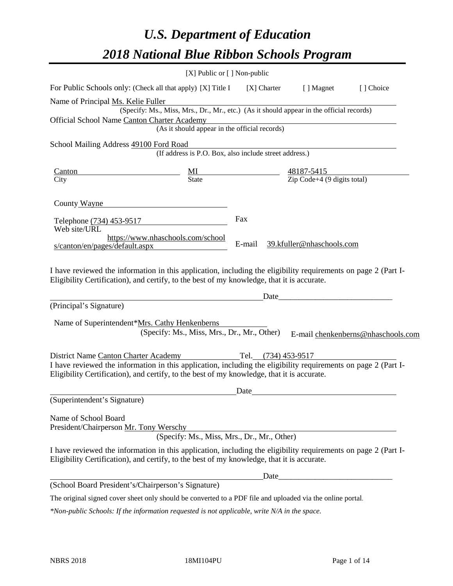# *U.S. Department of Education 2018 National Blue Ribbon Schools Program*

|                                                                                                                                                                                                              | $[X]$ Public or $[ \ ]$ Non-public                                                       |             |                           |                                    |
|--------------------------------------------------------------------------------------------------------------------------------------------------------------------------------------------------------------|------------------------------------------------------------------------------------------|-------------|---------------------------|------------------------------------|
| For Public Schools only: (Check all that apply) [X] Title I                                                                                                                                                  |                                                                                          | [X] Charter | [ ] Magnet                | [] Choice                          |
| Name of Principal Ms. Kelie Fuller                                                                                                                                                                           |                                                                                          |             |                           |                                    |
|                                                                                                                                                                                                              | (Specify: Ms., Miss, Mrs., Dr., Mr., etc.) (As it should appear in the official records) |             |                           |                                    |
| Official School Name Canton Charter Academy                                                                                                                                                                  | harter Academy<br>(As it should appear in the official records)                          |             |                           |                                    |
|                                                                                                                                                                                                              |                                                                                          |             |                           |                                    |
| School Mailing Address 49100 Ford Road                                                                                                                                                                       | (If address is P.O. Box, also include street address.)                                   |             |                           |                                    |
| Canton                                                                                                                                                                                                       | $\frac{MI}{State}$ $\frac{48187-5415}{Zip Code+4 (9 digits total)}$                      |             |                           |                                    |
| City                                                                                                                                                                                                         |                                                                                          |             |                           |                                    |
| County Wayne                                                                                                                                                                                                 |                                                                                          |             |                           |                                    |
| Telephone (734) 453-9517<br>Web site/URL                                                                                                                                                                     |                                                                                          | Fax         |                           |                                    |
| s/canton/en/pages/default.aspx                                                                                                                                                                               | https://www.nhaschools.com/school                                                        | E-mail      | 39.kfuller@nhaschools.com |                                    |
| (Principal's Signature)                                                                                                                                                                                      |                                                                                          | Date        |                           |                                    |
|                                                                                                                                                                                                              |                                                                                          |             |                           |                                    |
| Name of Superintendent*Mrs. Cathy Henkenberns                                                                                                                                                                | (Specify: Ms., Miss, Mrs., Dr., Mr., Other)                                              |             |                           | E-mail chenkenberns@nhaschools.com |
|                                                                                                                                                                                                              |                                                                                          |             |                           |                                    |
| District Name Canton Charter Academy Tel. (734) 453-9517                                                                                                                                                     |                                                                                          |             |                           |                                    |
| I have reviewed the information in this application, including the eligibility requirements on page 2 (Part I-<br>Eligibility Certification), and certify, to the best of my knowledge, that it is accurate. |                                                                                          |             |                           |                                    |
|                                                                                                                                                                                                              |                                                                                          | Date        |                           |                                    |
| (Superintendent's Signature)                                                                                                                                                                                 |                                                                                          |             |                           |                                    |
| Name of School Board<br>President/Chairperson Mr. Tony Werschy                                                                                                                                               | (Specify: Ms., Miss, Mrs., Dr., Mr., Other)                                              |             |                           |                                    |
| I have reviewed the information in this application, including the eligibility requirements on page 2 (Part I-<br>Eligibility Certification), and certify, to the best of my knowledge, that it is accurate. |                                                                                          |             |                           |                                    |
|                                                                                                                                                                                                              |                                                                                          | Date_       |                           |                                    |
| (School Board President's/Chairperson's Signature)                                                                                                                                                           |                                                                                          |             |                           |                                    |
| The original signed cover sheet only should be converted to a PDF file and uploaded via the online portal.                                                                                                   |                                                                                          |             |                           |                                    |

*\*Non-public Schools: If the information requested is not applicable, write N/A in the space.*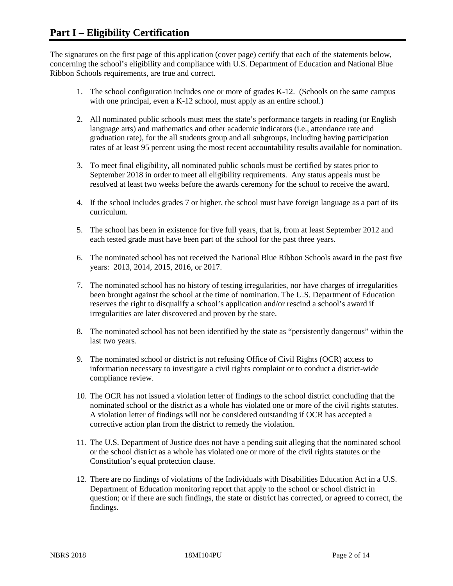The signatures on the first page of this application (cover page) certify that each of the statements below, concerning the school's eligibility and compliance with U.S. Department of Education and National Blue Ribbon Schools requirements, are true and correct.

- 1. The school configuration includes one or more of grades K-12. (Schools on the same campus with one principal, even a K-12 school, must apply as an entire school.)
- 2. All nominated public schools must meet the state's performance targets in reading (or English language arts) and mathematics and other academic indicators (i.e., attendance rate and graduation rate), for the all students group and all subgroups, including having participation rates of at least 95 percent using the most recent accountability results available for nomination.
- 3. To meet final eligibility, all nominated public schools must be certified by states prior to September 2018 in order to meet all eligibility requirements. Any status appeals must be resolved at least two weeks before the awards ceremony for the school to receive the award.
- 4. If the school includes grades 7 or higher, the school must have foreign language as a part of its curriculum.
- 5. The school has been in existence for five full years, that is, from at least September 2012 and each tested grade must have been part of the school for the past three years.
- 6. The nominated school has not received the National Blue Ribbon Schools award in the past five years: 2013, 2014, 2015, 2016, or 2017.
- 7. The nominated school has no history of testing irregularities, nor have charges of irregularities been brought against the school at the time of nomination. The U.S. Department of Education reserves the right to disqualify a school's application and/or rescind a school's award if irregularities are later discovered and proven by the state.
- 8. The nominated school has not been identified by the state as "persistently dangerous" within the last two years.
- 9. The nominated school or district is not refusing Office of Civil Rights (OCR) access to information necessary to investigate a civil rights complaint or to conduct a district-wide compliance review.
- 10. The OCR has not issued a violation letter of findings to the school district concluding that the nominated school or the district as a whole has violated one or more of the civil rights statutes. A violation letter of findings will not be considered outstanding if OCR has accepted a corrective action plan from the district to remedy the violation.
- 11. The U.S. Department of Justice does not have a pending suit alleging that the nominated school or the school district as a whole has violated one or more of the civil rights statutes or the Constitution's equal protection clause.
- 12. There are no findings of violations of the Individuals with Disabilities Education Act in a U.S. Department of Education monitoring report that apply to the school or school district in question; or if there are such findings, the state or district has corrected, or agreed to correct, the findings.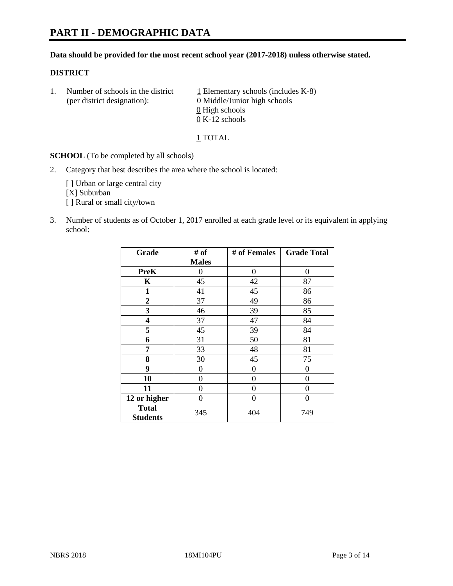#### **Data should be provided for the most recent school year (2017-2018) unless otherwise stated.**

#### **DISTRICT**

1. Number of schools in the district  $1$  Elementary schools (includes K-8) (per district designation): 0 Middle/Junior high schools 0 High schools 0 K-12 schools

1 TOTAL

**SCHOOL** (To be completed by all schools)

2. Category that best describes the area where the school is located:

[] Urban or large central city [X] Suburban [] Rural or small city/town

3. Number of students as of October 1, 2017 enrolled at each grade level or its equivalent in applying school:

| Grade                           | # of         | # of Females | <b>Grade Total</b> |
|---------------------------------|--------------|--------------|--------------------|
|                                 | <b>Males</b> |              |                    |
| <b>PreK</b>                     | 0            | 0            | 0                  |
| K                               | 45           | 42           | 87                 |
| $\mathbf{1}$                    | 41           | 45           | 86                 |
| 2                               | 37           | 49           | 86                 |
| 3                               | 46           | 39           | 85                 |
| 4                               | 37           | 47           | 84                 |
| 5                               | 45           | 39           | 84                 |
| 6                               | 31           | 50           | 81                 |
| 7                               | 33           | 48           | 81                 |
| 8                               | 30           | 45           | 75                 |
| 9                               | 0            | 0            | 0                  |
| 10                              | 0            | 0            | 0                  |
| 11                              | 0            | 0            | 0                  |
| 12 or higher                    | 0            | 0            | 0                  |
| <b>Total</b><br><b>Students</b> | 345          | 404          | 749                |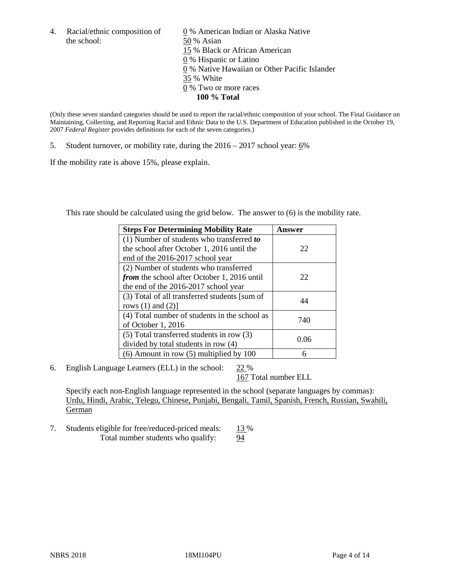the school: 50 % Asian

4. Racial/ethnic composition of  $\qquad 0\%$  American Indian or Alaska Native 15 % Black or African American 0 % Hispanic or Latino 0 % Native Hawaiian or Other Pacific Islander 35 % White 0 % Two or more races **100 % Total**

(Only these seven standard categories should be used to report the racial/ethnic composition of your school. The Final Guidance on Maintaining, Collecting, and Reporting Racial and Ethnic Data to the U.S. Department of Education published in the October 19, 2007 *Federal Register* provides definitions for each of the seven categories.)

5. Student turnover, or mobility rate, during the 2016 – 2017 school year: 6%

If the mobility rate is above 15%, please explain.

This rate should be calculated using the grid below. The answer to (6) is the mobility rate.

| <b>Steps For Determining Mobility Rate</b>         | Answer |
|----------------------------------------------------|--------|
| $(1)$ Number of students who transferred to        |        |
| the school after October 1, 2016 until the         | 22     |
| end of the 2016-2017 school year                   |        |
| (2) Number of students who transferred             |        |
| <i>from</i> the school after October 1, 2016 until | 22     |
| the end of the 2016-2017 school year               |        |
| (3) Total of all transferred students [sum of      | 44     |
| rows $(1)$ and $(2)$ ]                             |        |
| (4) Total number of students in the school as      |        |
| of October 1, 2016                                 | 740    |
| (5) Total transferred students in row (3)          |        |
| divided by total students in row (4)               | 0.06   |
| $(6)$ Amount in row $(5)$ multiplied by 100        | 6      |

6. English Language Learners (ELL) in the school: 22 %

167 Total number ELL

Specify each non-English language represented in the school (separate languages by commas): Urdu, Hindi, Arabic, Telegu, Chinese, Punjabi, Bengali, Tamil, Spanish, French, Russian, Swahili, German

7. Students eligible for free/reduced-priced meals: 13 % Total number students who qualify: 94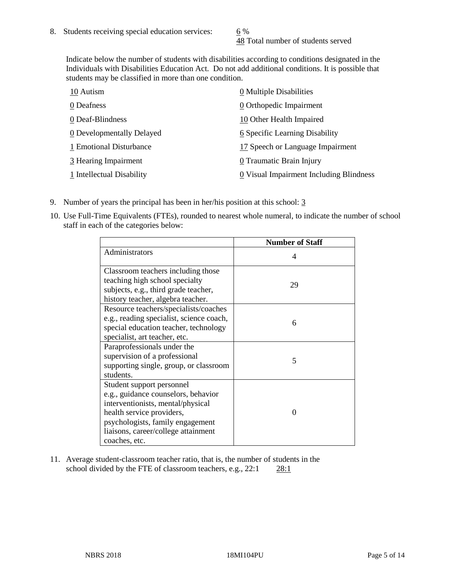48 Total number of students served

Indicate below the number of students with disabilities according to conditions designated in the Individuals with Disabilities Education Act. Do not add additional conditions. It is possible that students may be classified in more than one condition.

| 10 Autism                 | 0 Multiple Disabilities                 |
|---------------------------|-----------------------------------------|
| 0 Deafness                | 0 Orthopedic Impairment                 |
| 0 Deaf-Blindness          | 10 Other Health Impaired                |
| 0 Developmentally Delayed | 6 Specific Learning Disability          |
| 1 Emotional Disturbance   | 17 Speech or Language Impairment        |
| 3 Hearing Impairment      | 0 Traumatic Brain Injury                |
| 1 Intellectual Disability | 0 Visual Impairment Including Blindness |

- 9. Number of years the principal has been in her/his position at this school: 3
- 10. Use Full-Time Equivalents (FTEs), rounded to nearest whole numeral, to indicate the number of school staff in each of the categories below:

|                                                                                                                                                                                                                                | <b>Number of Staff</b> |
|--------------------------------------------------------------------------------------------------------------------------------------------------------------------------------------------------------------------------------|------------------------|
| Administrators                                                                                                                                                                                                                 | 4                      |
| Classroom teachers including those<br>teaching high school specialty<br>subjects, e.g., third grade teacher,<br>history teacher, algebra teacher.                                                                              | 29                     |
| Resource teachers/specialists/coaches<br>e.g., reading specialist, science coach,<br>special education teacher, technology<br>specialist, art teacher, etc.                                                                    | 6                      |
| Paraprofessionals under the<br>supervision of a professional<br>supporting single, group, or classroom<br>students.                                                                                                            | 5                      |
| Student support personnel<br>e.g., guidance counselors, behavior<br>interventionists, mental/physical<br>health service providers,<br>psychologists, family engagement<br>liaisons, career/college attainment<br>coaches, etc. | ∩                      |

11. Average student-classroom teacher ratio, that is, the number of students in the school divided by the FTE of classroom teachers, e.g., 22:1 28:1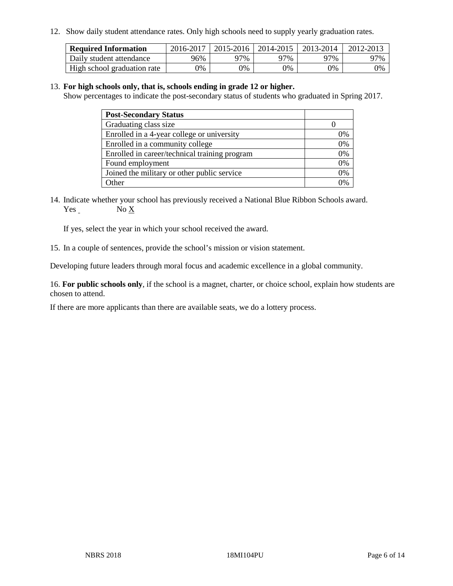12. Show daily student attendance rates. Only high schools need to supply yearly graduation rates.

| <b>Required Information</b> | 2016-2017 | $2015 - 2016$ | 2014-2015 | 2013-2014 | 2012-2013 |
|-----------------------------|-----------|---------------|-----------|-----------|-----------|
| Daily student attendance    | 96%       | 97%           | 97%       | ว7%       | 97%       |
| High school graduation rate | 0%        | 0%            | 0%        | 9%        | 0%        |

#### 13. **For high schools only, that is, schools ending in grade 12 or higher.**

Show percentages to indicate the post-secondary status of students who graduated in Spring 2017.

| <b>Post-Secondary Status</b>                  |    |
|-----------------------------------------------|----|
| Graduating class size                         |    |
| Enrolled in a 4-year college or university    | 0% |
| Enrolled in a community college               | 0% |
| Enrolled in career/technical training program | 0% |
| Found employment                              | 0% |
| Joined the military or other public service   | 0% |
| Other                                         | ገ% |

14. Indicate whether your school has previously received a National Blue Ribbon Schools award. Yes No X

If yes, select the year in which your school received the award.

15. In a couple of sentences, provide the school's mission or vision statement.

Developing future leaders through moral focus and academic excellence in a global community.

16. **For public schools only**, if the school is a magnet, charter, or choice school, explain how students are chosen to attend.

If there are more applicants than there are available seats, we do a lottery process.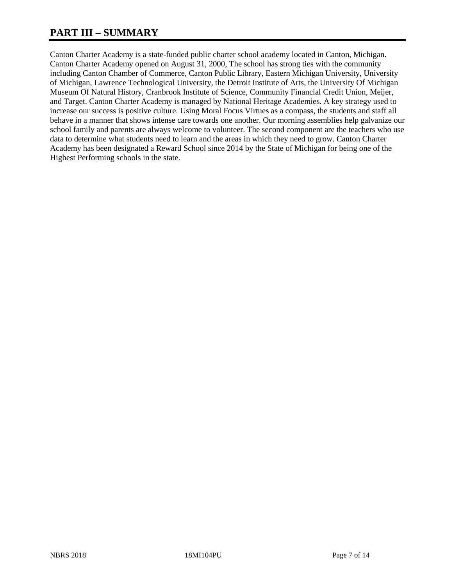## **PART III – SUMMARY**

Canton Charter Academy is a state-funded public charter school academy located in Canton, Michigan. Canton Charter Academy opened on August 31, 2000, The school has strong ties with the community including Canton Chamber of Commerce, Canton Public Library, Eastern Michigan University, University of Michigan, Lawrence Technological University, the Detroit Institute of Arts, the University Of Michigan Museum Of Natural History, Cranbrook Institute of Science, Community Financial Credit Union, Meijer, and Target. Canton Charter Academy is managed by National Heritage Academies. A key strategy used to increase our success is positive culture. Using Moral Focus Virtues as a compass, the students and staff all behave in a manner that shows intense care towards one another. Our morning assemblies help galvanize our school family and parents are always welcome to volunteer. The second component are the teachers who use data to determine what students need to learn and the areas in which they need to grow. Canton Charter Academy has been designated a Reward School since 2014 by the State of Michigan for being one of the Highest Performing schools in the state.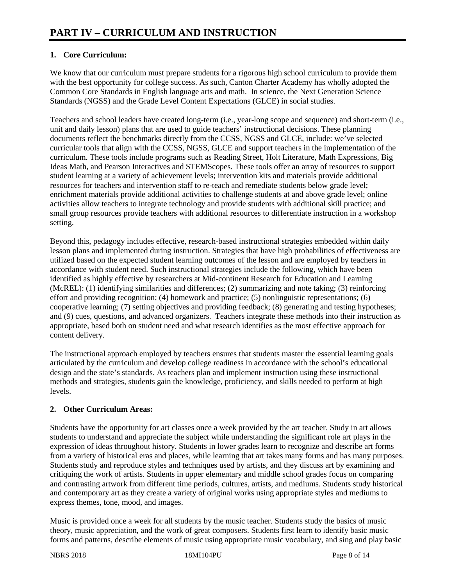## **1. Core Curriculum:**

We know that our curriculum must prepare students for a rigorous high school curriculum to provide them with the best opportunity for college success. As such, Canton Charter Academy has wholly adopted the Common Core Standards in English language arts and math. In science, the Next Generation Science Standards (NGSS) and the Grade Level Content Expectations (GLCE) in social studies.

Teachers and school leaders have created long-term (i.e., year-long scope and sequence) and short-term (i.e., unit and daily lesson) plans that are used to guide teachers' instructional decisions. These planning documents reflect the benchmarks directly from the CCSS, NGSS and GLCE, include: we've selected curricular tools that align with the CCSS, NGSS, GLCE and support teachers in the implementation of the curriculum. These tools include programs such as Reading Street, Holt Literature, Math Expressions, Big Ideas Math, and Pearson Interactives and STEMScopes. These tools offer an array of resources to support student learning at a variety of achievement levels; intervention kits and materials provide additional resources for teachers and intervention staff to re-teach and remediate students below grade level; enrichment materials provide additional activities to challenge students at and above grade level; online activities allow teachers to integrate technology and provide students with additional skill practice; and small group resources provide teachers with additional resources to differentiate instruction in a workshop setting.

Beyond this, pedagogy includes effective, research-based instructional strategies embedded within daily lesson plans and implemented during instruction. Strategies that have high probabilities of effectiveness are utilized based on the expected student learning outcomes of the lesson and are employed by teachers in accordance with student need. Such instructional strategies include the following, which have been identified as highly effective by researchers at Mid-continent Research for Education and Learning (McREL): (1) identifying similarities and differences; (2) summarizing and note taking; (3) reinforcing effort and providing recognition; (4) homework and practice; (5) nonlinguistic representations; (6) cooperative learning; (7) setting objectives and providing feedback; (8) generating and testing hypotheses; and (9) cues, questions, and advanced organizers. Teachers integrate these methods into their instruction as appropriate, based both on student need and what research identifies as the most effective approach for content delivery.

The instructional approach employed by teachers ensures that students master the essential learning goals articulated by the curriculum and develop college readiness in accordance with the school's educational design and the state's standards. As teachers plan and implement instruction using these instructional methods and strategies, students gain the knowledge, proficiency, and skills needed to perform at high levels.

## **2. Other Curriculum Areas:**

Students have the opportunity for art classes once a week provided by the art teacher. Study in art allows students to understand and appreciate the subject while understanding the significant role art plays in the expression of ideas throughout history. Students in lower grades learn to recognize and describe art forms from a variety of historical eras and places, while learning that art takes many forms and has many purposes. Students study and reproduce styles and techniques used by artists, and they discuss art by examining and critiquing the work of artists. Students in upper elementary and middle school grades focus on comparing and contrasting artwork from different time periods, cultures, artists, and mediums. Students study historical and contemporary art as they create a variety of original works using appropriate styles and mediums to express themes, tone, mood, and images.

Music is provided once a week for all students by the music teacher. Students study the basics of music theory, music appreciation, and the work of great composers. Students first learn to identify basic music forms and patterns, describe elements of music using appropriate music vocabulary, and sing and play basic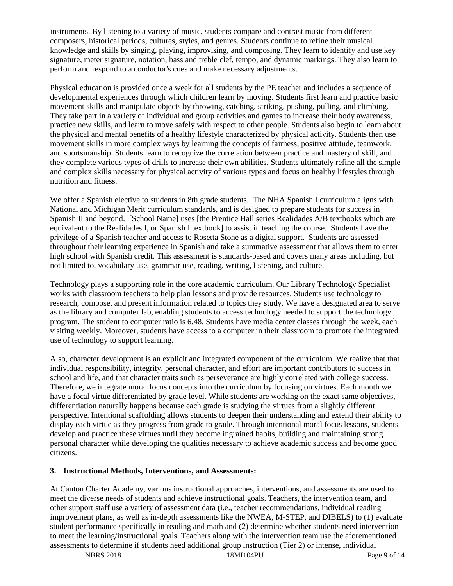instruments. By listening to a variety of music, students compare and contrast music from different composers, historical periods, cultures, styles, and genres. Students continue to refine their musical knowledge and skills by singing, playing, improvising, and composing. They learn to identify and use key signature, meter signature, notation, bass and treble clef, tempo, and dynamic markings. They also learn to perform and respond to a conductor's cues and make necessary adjustments.

Physical education is provided once a week for all students by the PE teacher and includes a sequence of developmental experiences through which children learn by moving. Students first learn and practice basic movement skills and manipulate objects by throwing, catching, striking, pushing, pulling, and climbing. They take part in a variety of individual and group activities and games to increase their body awareness, practice new skills, and learn to move safely with respect to other people. Students also begin to learn about the physical and mental benefits of a healthy lifestyle characterized by physical activity. Students then use movement skills in more complex ways by learning the concepts of fairness, positive attitude, teamwork, and sportsmanship. Students learn to recognize the correlation between practice and mastery of skill, and they complete various types of drills to increase their own abilities. Students ultimately refine all the simple and complex skills necessary for physical activity of various types and focus on healthy lifestyles through nutrition and fitness.

We offer a Spanish elective to students in 8th grade students. The NHA Spanish I curriculum aligns with National and Michigan Merit curriculum standards, and is designed to prepare students for success in Spanish II and beyond. [School Name] uses [the Prentice Hall series Realidades A/B textbooks which are equivalent to the Realidades I, or Spanish I textbook] to assist in teaching the course. Students have the privilege of a Spanish teacher and access to Rosetta Stone as a digital support. Students are assessed throughout their learning experience in Spanish and take a summative assessment that allows them to enter high school with Spanish credit. This assessment is standards-based and covers many areas including, but not limited to, vocabulary use, grammar use, reading, writing, listening, and culture.

Technology plays a supporting role in the core academic curriculum. Our Library Technology Specialist works with classroom teachers to help plan lessons and provide resources. Students use technology to research, compose, and present information related to topics they study. We have a designated area to serve as the library and computer lab, enabling students to access technology needed to support the technology program. The student to computer ratio is 6.48. Students have media center classes through the week, each visiting weekly. Moreover, students have access to a computer in their classroom to promote the integrated use of technology to support learning.

Also, character development is an explicit and integrated component of the curriculum. We realize that that individual responsibility, integrity, personal character, and effort are important contributors to success in school and life, and that character traits such as perseverance are highly correlated with college success. Therefore, we integrate moral focus concepts into the curriculum by focusing on virtues. Each month we have a focal virtue differentiated by grade level. While students are working on the exact same objectives, differentiation naturally happens because each grade is studying the virtues from a slightly different perspective. Intentional scaffolding allows students to deepen their understanding and extend their ability to display each virtue as they progress from grade to grade. Through intentional moral focus lessons, students develop and practice these virtues until they become ingrained habits, building and maintaining strong personal character while developing the qualities necessary to achieve academic success and become good citizens.

#### **3. Instructional Methods, Interventions, and Assessments:**

At Canton Charter Academy, various instructional approaches, interventions, and assessments are used to meet the diverse needs of students and achieve instructional goals. Teachers, the intervention team, and other support staff use a variety of assessment data (i.e., teacher recommendations, individual reading improvement plans, as well as in-depth assessments like the NWEA, M-STEP, and DIBELS) to (1) evaluate student performance specifically in reading and math and (2) determine whether students need intervention to meet the learning/instructional goals. Teachers along with the intervention team use the aforementioned assessments to determine if students need additional group instruction (Tier 2) or intense, individual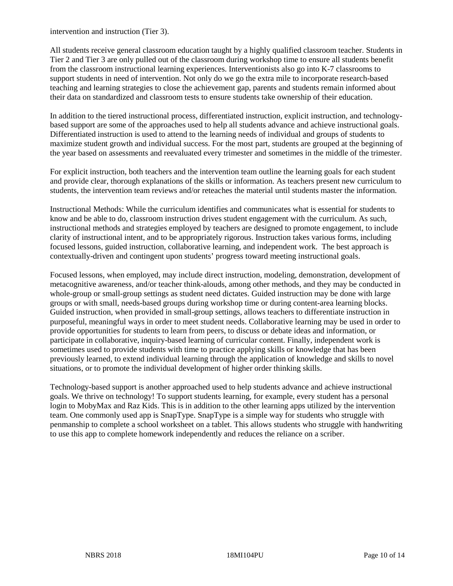intervention and instruction (Tier 3).

All students receive general classroom education taught by a highly qualified classroom teacher. Students in Tier 2 and Tier 3 are only pulled out of the classroom during workshop time to ensure all students benefit from the classroom instructional learning experiences. Interventionists also go into K-7 classrooms to support students in need of intervention. Not only do we go the extra mile to incorporate research-based teaching and learning strategies to close the achievement gap, parents and students remain informed about their data on standardized and classroom tests to ensure students take ownership of their education.

In addition to the tiered instructional process, differentiated instruction, explicit instruction, and technologybased support are some of the approaches used to help all students advance and achieve instructional goals. Differentiated instruction is used to attend to the learning needs of individual and groups of students to maximize student growth and individual success. For the most part, students are grouped at the beginning of the year based on assessments and reevaluated every trimester and sometimes in the middle of the trimester.

For explicit instruction, both teachers and the intervention team outline the learning goals for each student and provide clear, thorough explanations of the skills or information. As teachers present new curriculum to students, the intervention team reviews and/or reteaches the material until students master the information.

Instructional Methods: While the curriculum identifies and communicates what is essential for students to know and be able to do, classroom instruction drives student engagement with the curriculum. As such, instructional methods and strategies employed by teachers are designed to promote engagement, to include clarity of instructional intent, and to be appropriately rigorous. Instruction takes various forms, including focused lessons, guided instruction, collaborative learning, and independent work. The best approach is contextually-driven and contingent upon students' progress toward meeting instructional goals.

Focused lessons, when employed, may include direct instruction, modeling, demonstration, development of metacognitive awareness, and/or teacher think-alouds, among other methods, and they may be conducted in whole-group or small-group settings as student need dictates. Guided instruction may be done with large groups or with small, needs-based groups during workshop time or during content-area learning blocks. Guided instruction, when provided in small-group settings, allows teachers to differentiate instruction in purposeful, meaningful ways in order to meet student needs. Collaborative learning may be used in order to provide opportunities for students to learn from peers, to discuss or debate ideas and information, or participate in collaborative, inquiry-based learning of curricular content. Finally, independent work is sometimes used to provide students with time to practice applying skills or knowledge that has been previously learned, to extend individual learning through the application of knowledge and skills to novel situations, or to promote the individual development of higher order thinking skills.

Technology-based support is another approached used to help students advance and achieve instructional goals. We thrive on technology! To support students learning, for example, every student has a personal login to MobyMax and Raz Kids. This is in addition to the other learning apps utilized by the intervention team. One commonly used app is SnapType. SnapType is a simple way for students who struggle with penmanship to complete a school worksheet on a tablet. This allows students who struggle with handwriting to use this app to complete homework independently and reduces the reliance on a scriber.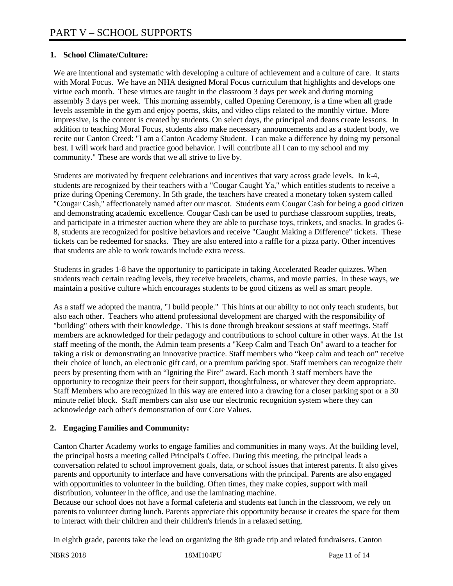## **1. School Climate/Culture:**

We are intentional and systematic with developing a culture of achievement and a culture of care. It starts with Moral Focus. We have an NHA designed Moral Focus curriculum that highlights and develops one virtue each month. These virtues are taught in the classroom 3 days per week and during morning assembly 3 days per week. This morning assembly, called Opening Ceremony, is a time when all grade levels assemble in the gym and enjoy poems, skits, and video clips related to the monthly virtue. More impressive, is the content is created by students. On select days, the principal and deans create lessons. In addition to teaching Moral Focus, students also make necessary announcements and as a student body, we recite our Canton Creed: "I am a Canton Academy Student. I can make a difference by doing my personal best. I will work hard and practice good behavior. I will contribute all I can to my school and my community." These are words that we all strive to live by.

Students are motivated by frequent celebrations and incentives that vary across grade levels. In k-4, students are recognized by their teachers with a "Cougar Caught Ya," which entitles students to receive a prize during Opening Ceremony. In 5th grade, the teachers have created a monetary token system called "Cougar Cash," affectionately named after our mascot. Students earn Cougar Cash for being a good citizen and demonstrating academic excellence. Cougar Cash can be used to purchase classroom supplies, treats, and participate in a trimester auction where they are able to purchase toys, trinkets, and snacks. In grades 6- 8, students are recognized for positive behaviors and receive "Caught Making a Difference" tickets. These tickets can be redeemed for snacks. They are also entered into a raffle for a pizza party. Other incentives that students are able to work towards include extra recess.

Students in grades 1-8 have the opportunity to participate in taking Accelerated Reader quizzes. When students reach certain reading levels, they receive bracelets, charms, and movie parties. In these ways, we maintain a positive culture which encourages students to be good citizens as well as smart people.

As a staff we adopted the mantra, "I build people." This hints at our ability to not only teach students, but also each other. Teachers who attend professional development are charged with the responsibility of "building" others with their knowledge. This is done through breakout sessions at staff meetings. Staff members are acknowledged for their pedagogy and contributions to school culture in other ways. At the 1st staff meeting of the month, the Admin team presents a "Keep Calm and Teach On" award to a teacher for taking a risk or demonstrating an innovative practice. Staff members who "keep calm and teach on" receive their choice of lunch, an electronic gift card, or a premium parking spot. Staff members can recognize their peers by presenting them with an "Igniting the Fire" award. Each month 3 staff members have the opportunity to recognize their peers for their support, thoughtfulness, or whatever they deem appropriate. Staff Members who are recognized in this way are entered into a drawing for a closer parking spot or a 30 minute relief block. Staff members can also use our electronic recognition system where they can acknowledge each other's demonstration of our Core Values.

## **2. Engaging Families and Community:**

Canton Charter Academy works to engage families and communities in many ways. At the building level, the principal hosts a meeting called Principal's Coffee. During this meeting, the principal leads a conversation related to school improvement goals, data, or school issues that interest parents. It also gives parents and opportunity to interface and have conversations with the principal. Parents are also engaged with opportunities to volunteer in the building. Often times, they make copies, support with mail distribution, volunteer in the office, and use the laminating machine.

Because our school does not have a formal cafeteria and students eat lunch in the classroom, we rely on parents to volunteer during lunch. Parents appreciate this opportunity because it creates the space for them to interact with their children and their children's friends in a relaxed setting.

In eighth grade, parents take the lead on organizing the 8th grade trip and related fundraisers. Canton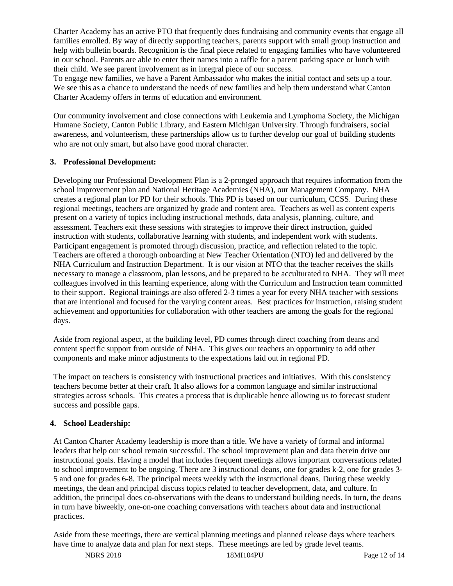Charter Academy has an active PTO that frequently does fundraising and community events that engage all families enrolled. By way of directly supporting teachers, parents support with small group instruction and help with bulletin boards. Recognition is the final piece related to engaging families who have volunteered in our school. Parents are able to enter their names into a raffle for a parent parking space or lunch with their child. We see parent involvement as in integral piece of our success.

To engage new families, we have a Parent Ambassador who makes the initial contact and sets up a tour. We see this as a chance to understand the needs of new families and help them understand what Canton Charter Academy offers in terms of education and environment.

Our community involvement and close connections with Leukemia and Lymphoma Society, the Michigan Humane Society, Canton Public Library, and Eastern Michigan University. Through fundraisers, social awareness, and volunteerism, these partnerships allow us to further develop our goal of building students who are not only smart, but also have good moral character.

#### **3. Professional Development:**

Developing our Professional Development Plan is a 2-pronged approach that requires information from the school improvement plan and National Heritage Academies (NHA), our Management Company. NHA creates a regional plan for PD for their schools. This PD is based on our curriculum, CCSS. During these regional meetings, teachers are organized by grade and content area. Teachers as well as content experts present on a variety of topics including instructional methods, data analysis, planning, culture, and assessment. Teachers exit these sessions with strategies to improve their direct instruction, guided instruction with students, collaborative learning with students, and independent work with students. Participant engagement is promoted through discussion, practice, and reflection related to the topic. Teachers are offered a thorough onboarding at New Teacher Orientation (NTO) led and delivered by the NHA Curriculum and Instruction Department. It is our vision at NTO that the teacher receives the skills necessary to manage a classroom, plan lessons, and be prepared to be acculturated to NHA. They will meet colleagues involved in this learning experience, along with the Curriculum and Instruction team committed to their support. Regional trainings are also offered 2-3 times a year for every NHA teacher with sessions that are intentional and focused for the varying content areas. Best practices for instruction, raising student achievement and opportunities for collaboration with other teachers are among the goals for the regional days.

Aside from regional aspect, at the building level, PD comes through direct coaching from deans and content specific support from outside of NHA. This gives our teachers an opportunity to add other components and make minor adjustments to the expectations laid out in regional PD.

The impact on teachers is consistency with instructional practices and initiatives. With this consistency teachers become better at their craft. It also allows for a common language and similar instructional strategies across schools. This creates a process that is duplicable hence allowing us to forecast student success and possible gaps.

### **4. School Leadership:**

At Canton Charter Academy leadership is more than a title. We have a variety of formal and informal leaders that help our school remain successful. The school improvement plan and data therein drive our instructional goals. Having a model that includes frequent meetings allows important conversations related to school improvement to be ongoing. There are 3 instructional deans, one for grades k-2, one for grades 3- 5 and one for grades 6-8. The principal meets weekly with the instructional deans. During these weekly meetings, the dean and principal discuss topics related to teacher development, data, and culture. In addition, the principal does co-observations with the deans to understand building needs. In turn, the deans in turn have biweekly, one-on-one coaching conversations with teachers about data and instructional practices.

Aside from these meetings, there are vertical planning meetings and planned release days where teachers have time to analyze data and plan for next steps. These meetings are led by grade level teams.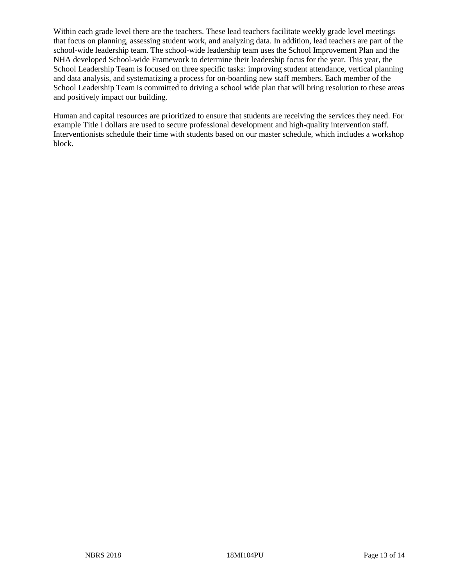Within each grade level there are the teachers. These lead teachers facilitate weekly grade level meetings that focus on planning, assessing student work, and analyzing data. In addition, lead teachers are part of the school-wide leadership team. The school-wide leadership team uses the School Improvement Plan and the NHA developed School-wide Framework to determine their leadership focus for the year. This year, the School Leadership Team is focused on three specific tasks: improving student attendance, vertical planning and data analysis, and systematizing a process for on-boarding new staff members. Each member of the School Leadership Team is committed to driving a school wide plan that will bring resolution to these areas and positively impact our building.

Human and capital resources are prioritized to ensure that students are receiving the services they need. For example Title I dollars are used to secure professional development and high-quality intervention staff. Interventionists schedule their time with students based on our master schedule, which includes a workshop block.